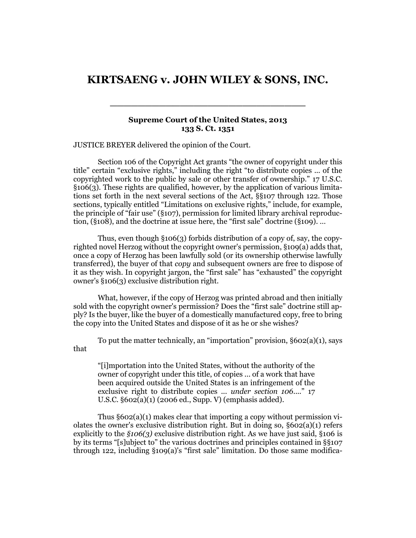# **KIRTSAENG v. JOHN WILEY & SONS, INC.**

\_\_\_\_\_\_\_\_\_\_\_\_\_\_\_\_\_\_\_\_\_\_\_\_\_\_\_\_

# **Supreme Court of the United States, 2013 133 S. Ct. 1351**

JUSTICE BREYER delivered the opinion of the Court.

Section 106 of the Copyright Act grants "the owner of copyright under this title" certain "exclusive rights," including the right "to distribute copies ... of the copyrighted work to the public by sale or other transfer of ownership." [17 U.S.C.](http://www.westlaw.com/Find/Default.wl?rs=dfa1.0&vr=2.0&DB=1000546&DocName=17USCAS106&FindType=L&ReferencePositionType=T&ReferencePosition=SP_d08f0000f5f67)  [§106\(3\).](http://www.westlaw.com/Find/Default.wl?rs=dfa1.0&vr=2.0&DB=1000546&DocName=17USCAS106&FindType=L&ReferencePositionType=T&ReferencePosition=SP_d08f0000f5f67) These rights are qualified, however, by the application of various limitations set forth in the next several sections of the Act, §§107 through 122. Those sections, typically entitled "Limitations on exclusive rights," include, for example, the principle of "fair use" (§107), permission for limited library archival reproduction, (§108), and the doctrine at issue here, the "first sale" doctrine ([§109](http://www.westlaw.com/Find/Default.wl?rs=dfa1.0&vr=2.0&DB=1000546&DocName=17USCAS109&FindType=L)). …

Thus, even though [§106\(3\)](http://www.westlaw.com/Find/Default.wl?rs=dfa1.0&vr=2.0&DB=1000546&DocName=17USCAS106&FindType=L&ReferencePositionType=T&ReferencePosition=SP_d08f0000f5f67) forbids distribution of a copy of, say, the copyrighted novel Herzog without the copyright owner's permission, [§109\(a\)](http://www.westlaw.com/Find/Default.wl?rs=dfa1.0&vr=2.0&DB=1000546&DocName=17USCAS109&FindType=L&ReferencePositionType=T&ReferencePosition=SP_8b3b0000958a4) adds that, once a copy of Herzog has been lawfully sold (or its ownership otherwise lawfully transferred), the buyer of that *copy* and subsequent owners are free to dispose of it as they wish. In copyright jargon, the "first sale" has "exhausted" the copyright owner's [§106\(3\)](http://www.westlaw.com/Find/Default.wl?rs=dfa1.0&vr=2.0&DB=1000546&DocName=17USCAS106&FindType=L&ReferencePositionType=T&ReferencePosition=SP_d08f0000f5f67) exclusive distribution right.

What, however, if the copy of Herzog was printed abroad and then initially sold with the copyright owner's permission? Does the "first sale" doctrine still apply? Is the buyer, like the buyer of a domestically manufactured copy, free to bring the copy into the United States and dispose of it as he or she wishes?

To put the matter technically, an "importation" provision, [§602\(a\)\(1\),](http://www.westlaw.com/Find/Default.wl?rs=dfa1.0&vr=2.0&DB=1000546&DocName=17USCAS602&FindType=L&ReferencePositionType=T&ReferencePosition=SP_7b9b000044381) says that

"[i]mportation into the United States, without the authority of the owner of copyright under this title, of copies ... of a work that have been acquired outside the United States is an infringement of the exclusive right to distribute copies ... *under [section 106](http://www.westlaw.com/Find/Default.wl?rs=dfa1.0&vr=2.0&DB=1000546&DocName=17USCAS106&FindType=L)*...." [17](http://www.westlaw.com/Find/Default.wl?rs=dfa1.0&vr=2.0&DB=1000546&DocName=17USCAS602&FindType=L&ReferencePositionType=T&ReferencePosition=SP_7b9b000044381)  [U.S.C. §602\(a\)\(1\)](http://www.westlaw.com/Find/Default.wl?rs=dfa1.0&vr=2.0&DB=1000546&DocName=17USCAS602&FindType=L&ReferencePositionType=T&ReferencePosition=SP_7b9b000044381) (2006 ed., Supp. V) (emphasis added).

Thus [§602\(a\)\(1\)](http://www.westlaw.com/Find/Default.wl?rs=dfa1.0&vr=2.0&DB=1000546&DocName=17USCAS602&FindType=L&ReferencePositionType=T&ReferencePosition=SP_7b9b000044381) makes clear that importing a copy without permission violates the owner's exclusive distribution right. But in doing so,  $\S602(a)(1)$  refers explicitly to the *[§106\(3\)](http://www.westlaw.com/Find/Default.wl?rs=dfa1.0&vr=2.0&DB=1000546&DocName=17USCAS106&FindType=L&ReferencePositionType=T&ReferencePosition=SP_d08f0000f5f67)* exclusive distribution right. As we have just said, [§106](http://www.westlaw.com/Find/Default.wl?rs=dfa1.0&vr=2.0&DB=1000546&DocName=17USCAS106&FindType=L) is by its terms "[s]ubject to" the various doctrines and principles contained in §§107 through 122, including [§109\(a\)](http://www.westlaw.com/Find/Default.wl?rs=dfa1.0&vr=2.0&DB=1000546&DocName=17USCAS109&FindType=L&ReferencePositionType=T&ReferencePosition=SP_8b3b0000958a4)'s "first sale" limitation. Do those same modifica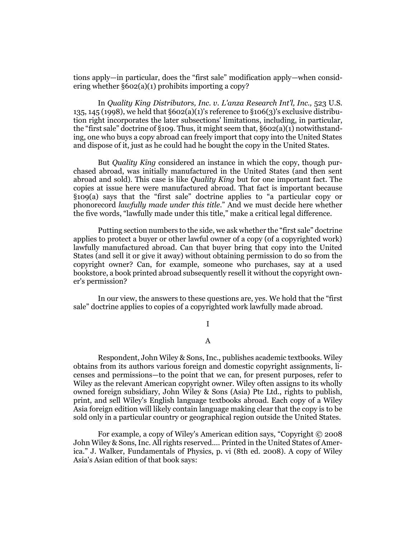tions apply—in particular, does the "first sale" modification apply—when considering whether [§602\(a\)\(1\)](http://www.westlaw.com/Find/Default.wl?rs=dfa1.0&vr=2.0&DB=1000546&DocName=17USCAS602&FindType=L&ReferencePositionType=T&ReferencePosition=SP_7b9b000044381) prohibits importing a copy?

In *[Quality King Distributors, Inc. v. L'anza](http://www.westlaw.com/Find/Default.wl?rs=dfa1.0&vr=2.0&DB=708&FindType=Y&SerialNum=1998065033) Research Int'l, Inc.,* [523 U.S.](http://www.westlaw.com/Find/Default.wl?rs=dfa1.0&vr=2.0&DB=708&FindType=Y&SerialNum=1998065033)  [135, 145 \(1998\),](http://www.westlaw.com/Find/Default.wl?rs=dfa1.0&vr=2.0&DB=708&FindType=Y&SerialNum=1998065033) we held tha[t §602\(a\)\(1\)'](http://www.westlaw.com/Find/Default.wl?rs=dfa1.0&vr=2.0&DB=1000546&DocName=17USCAS602&FindType=L&ReferencePositionType=T&ReferencePosition=SP_7b9b000044381)s reference to [§106\(3\)'](http://www.westlaw.com/Find/Default.wl?rs=dfa1.0&vr=2.0&DB=1000546&DocName=17USCAS106&FindType=L&ReferencePositionType=T&ReferencePosition=SP_d08f0000f5f67)s exclusive distribution right incorporates the later subsections' limitations, including, in particular, the "first sale" doctrine of [§109.](http://www.westlaw.com/Find/Default.wl?rs=dfa1.0&vr=2.0&DB=1000546&DocName=17USCAS109&FindType=L) Thus, it might seem that[, §602\(a\)\(1\)](http://www.westlaw.com/Find/Default.wl?rs=dfa1.0&vr=2.0&DB=1000546&DocName=17USCAS602&FindType=L&ReferencePositionType=T&ReferencePosition=SP_7b9b000044381) notwithstanding, one who buys a copy abroad can freely import that copy into the United States and dispose of it, just as he could had he bought the copy in the United States.

But *[Quality King](http://www.westlaw.com/Find/Default.wl?rs=dfa1.0&vr=2.0&FindType=Y&SerialNum=1998065033)* considered an instance in which the copy, though purchased abroad, was initially manufactured in the United States (and then sent abroad and sold). This case is like *[Quality King](http://www.westlaw.com/Find/Default.wl?rs=dfa1.0&vr=2.0&FindType=Y&SerialNum=1998065033)* but for one important fact. The copies at issue here were manufactured abroad. That fact is important because [§109\(a\)](http://www.westlaw.com/Find/Default.wl?rs=dfa1.0&vr=2.0&DB=1000546&DocName=17USCAS109&FindType=L&ReferencePositionType=T&ReferencePosition=SP_8b3b0000958a4) says that the "first sale" doctrine applies to "a particular copy or phonorecord *lawfully made under this title*." And we must decide here whether the five words, "lawfully made under this title," make a critical legal difference.

Putting section numbers to the side, we ask whether the "first sale" doctrine applies to protect a buyer or other lawful owner of a copy (of a copyrighted work) lawfully manufactured abroad. Can that buyer bring that copy into the United States (and sell it or give it away) without obtaining permission to do so from the copyright owner? Can, for example, someone who purchases, say at a used bookstore, a book printed abroad subsequently resell it without the copyright owner's permission?

In our view, the answers to these questions are, yes. We hold that the "first sale" doctrine applies to copies of a copyrighted work lawfully made abroad.

I

## A

Respondent, John Wiley & Sons, Inc., publishes academic textbooks. Wiley obtains from its authors various foreign and domestic copyright assignments, licenses and permissions—to the point that we can, for present purposes, refer to Wiley as the relevant American copyright owner. Wiley often assigns to its wholly owned foreign subsidiary, John Wiley & Sons (Asia) Pte Ltd., rights to publish, print, and sell Wiley's English language textbooks abroad. Each copy of a Wiley Asia foreign edition will likely contain language making clear that the copy is to be sold only in a particular country or geographical region outside the United States.

For example, a copy of Wiley's American edition says, "Copyright © 2008 John Wiley & Sons, Inc. All rights reserved.... Printed in the United States of America." J. Walker, Fundamentals of Physics, p. vi (8th ed. 2008). A copy of Wiley Asia's Asian edition of that book says: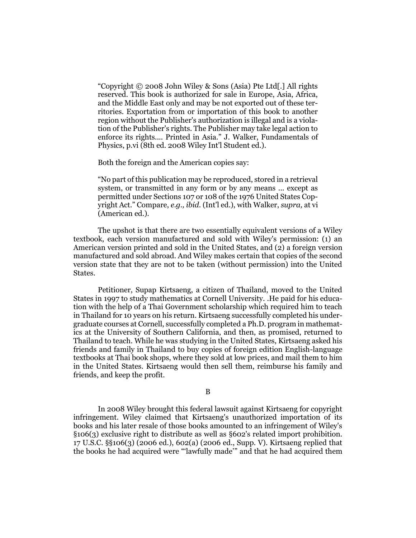"Copyright © 2008 John Wiley & Sons (Asia) Pte Ltd[.] All rights reserved. This book is authorized for sale in Europe, Asia, Africa, and the Middle East only and may be not exported out of these territories. Exportation from or importation of this book to another region without the Publisher's authorization is illegal and is a violation of the Publisher's rights. The Publisher may take legal action to enforce its rights.... Printed in Asia." J. Walker, Fundamentals of Physics, p.vi (8th ed. 2008 Wiley Int'l Student ed.).

Both the foreign and the American copies say:

"No part of this publication may be reproduced, stored in a retrieval system, or transmitted in any form or by any means ... except as permitted under Sections 107 or 108 of the 1976 United States Copyright Act." Compare, *e.g., ibid.* (Int'l ed.), with Walker, *supra,* at vi (American ed.).

The upshot is that there are two essentially equivalent versions of a Wiley textbook, each version manufactured and sold with Wiley's permission: (1) an American version printed and sold in the United States, and (2) a foreign version manufactured and sold abroad. And Wiley makes certain that copies of the second version state that they are not to be taken (without permission) into the United States.

Petitioner, Supap Kirtsaeng, a citizen of Thailand, moved to the United States in 1997 to study mathematics at Cornell University. *.*He paid for his education with the help of a Thai Government scholarship which required him to teach in Thailand for 10 years on his return. Kirtsaeng successfully completed his undergraduate courses at Cornell, successfully completed a Ph.D. program in mathematics at the University of Southern California, and then, as promised, returned to Thailand to teach. While he was studying in the United States, Kirtsaeng asked his friends and family in Thailand to buy copies of foreign edition English-language textbooks at Thai book shops, where they sold at low prices, and mail them to him in the United States. Kirtsaeng would then sell them, reimburse his family and friends, and keep the profit.

## B

In 2008 Wiley brought this federal lawsuit against Kirtsaeng for copyright infringement. Wiley claimed that Kirtsaeng's unauthorized importation of its books and his later resale of those books amounted to an infringement of Wiley's [§106\(3\)](http://www.westlaw.com/Find/Default.wl?rs=dfa1.0&vr=2.0&DB=1000546&DocName=17USCAS106&FindType=L&ReferencePositionType=T&ReferencePosition=SP_d08f0000f5f67) exclusive right to distribute as well as [§602's](http://www.westlaw.com/Find/Default.wl?rs=dfa1.0&vr=2.0&DB=1000546&DocName=17USCAS602&FindType=L) related import prohibition. [17 U.S.C. §§106\(3\) \(2006 ed.\),](http://www.westlaw.com/Find/Default.wl?rs=dfa1.0&vr=2.0&DB=1000546&DocName=17USCAS106&FindType=L&ReferencePositionType=T&ReferencePosition=SP_d08f0000f5f67) [602\(a\)](http://www.westlaw.com/Find/Default.wl?rs=dfa1.0&vr=2.0&DB=1000546&DocName=17USCAS602&FindType=L&ReferencePositionType=T&ReferencePosition=SP_8b3b0000958a4) (2006 ed., Supp. V). Kirtsaeng replied that the books he had acquired were "'lawfully made'" and that he had acquired them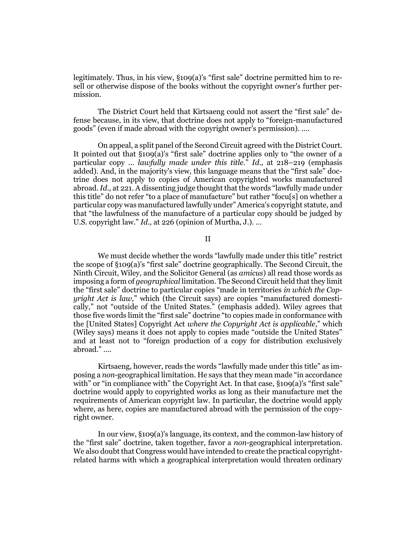legitimately. Thus, in his view, [§109\(a\)](http://www.westlaw.com/Find/Default.wl?rs=dfa1.0&vr=2.0&DB=1000546&DocName=17USCAS109&FindType=L&ReferencePositionType=T&ReferencePosition=SP_8b3b0000958a4)'s "first sale" doctrine permitted him to resell or otherwise dispose of the books without the copyright owner's further permission.

The District Court held that Kirtsaeng could not assert the "first sale" defense because, in its view, that doctrine does not apply to "foreign-manufactured goods" (even if made abroad with the copyright owner's permission). ….

On appeal, a split panel of the Second Circuit agreed with the District Court. It pointed out that [§109\(a\)](http://www.westlaw.com/Find/Default.wl?rs=dfa1.0&vr=2.0&DB=1000546&DocName=17USCAS109&FindType=L&ReferencePositionType=T&ReferencePosition=SP_8b3b0000958a4)'s "first sale" doctrine applies only to "the owner of a particular copy ... *lawfully made under this title.*" *[Id.,](http://www.westlaw.com/Find/Default.wl?rs=dfa1.0&vr=2.0&FindType=Y&SerialNum=2025868231)* [at 218](http://www.westlaw.com/Find/Default.wl?rs=dfa1.0&vr=2.0&FindType=Y&SerialNum=2025868231)–219 (emphasis added). And, in the majority's view, this language means that the "first sale" doctrine does not apply to copies of American copyrighted works manufactured abroad. *[Id.,](http://www.westlaw.com/Find/Default.wl?rs=dfa1.0&vr=2.0&FindType=Y&SerialNum=2025868231)* [at 221.](http://www.westlaw.com/Find/Default.wl?rs=dfa1.0&vr=2.0&FindType=Y&SerialNum=2025868231) A dissenting judge thought that the words "lawfully made under this title" do not refer "to a place of manufacture" but rather "focu[s] on whether a particular copy was manufactured lawfully under" America's copyright statute, and that "the lawfulness of the manufacture of a particular copy should be judged by U.S. copyright law." *[Id.,](http://www.westlaw.com/Find/Default.wl?rs=dfa1.0&vr=2.0&FindType=Y&SerialNum=2025868231)* [at 226](http://www.westlaw.com/Find/Default.wl?rs=dfa1.0&vr=2.0&FindType=Y&SerialNum=2025868231) (opinion of Murtha, J.). …

II

We must decide whether the words "lawfully made under this title" restrict the scope of [§109\(a\)](http://www.westlaw.com/Find/Default.wl?rs=dfa1.0&vr=2.0&DB=1000546&DocName=17USCAS109&FindType=L&ReferencePositionType=T&ReferencePosition=SP_8b3b0000958a4)'s "first sale" doctrine geographically. The Second Circuit, the Ninth Circuit, Wiley, and the Solicitor General (as *amicus*) all read those words as imposing a form of *geographical* limitation. The Second Circuit held that they limit the "first sale" doctrine to particular copies "made in territories *in which the Copyright Act is law,*" which (the Circuit says) are copies "manufactured domestically," not "outside of the United States." (emphasis added). Wiley agrees that those five words limit the "first sale" doctrine "to copies made in conformance with the [United States] Copyright Act *where the Copyright Act is applicable*," which (Wiley says) means it does not apply to copies made "outside the United States" and at least not to "foreign production of a copy for distribution exclusively abroad." ….

Kirtsaeng, however, reads the words "lawfully made under this title" as imposing a *non-*geographical limitation. He says that they mean made "in accordance with" or "in compliance with" the Copyright Act. In that case, [§109\(a\)](http://www.westlaw.com/Find/Default.wl?rs=dfa1.0&vr=2.0&DB=1000546&DocName=17USCAS109&FindType=L&ReferencePositionType=T&ReferencePosition=SP_8b3b0000958a4)'s "first sale" doctrine would apply to copyrighted works as long as their manufacture met the requirements of American copyright law. In particular, the doctrine would apply where, as here, copies are manufactured abroad with the permission of the copyright owner.

In our view[, §109\(a\)'s](http://www.westlaw.com/Find/Default.wl?rs=dfa1.0&vr=2.0&DB=1000546&DocName=17USCAS109&FindType=L&ReferencePositionType=T&ReferencePosition=SP_8b3b0000958a4) language, its context, and the common-law history of the "first sale" doctrine, taken together, favor a *non*-geographical interpretation. We also doubt that Congress would have intended to create the practical copyrightrelated harms with which a geographical interpretation would threaten ordinary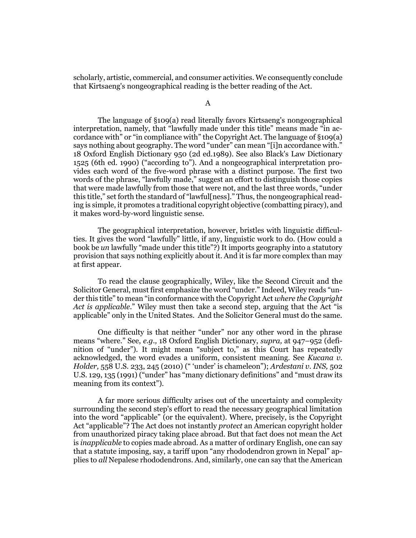scholarly, artistic, commercial, and consumer activities. We consequently conclude that Kirtsaeng's nongeographical reading is the better reading of the Act.

#### A

The language of [§109\(a\)](http://www.westlaw.com/Find/Default.wl?rs=dfa1.0&vr=2.0&DB=1000546&DocName=17USCAS109&FindType=L&ReferencePositionType=T&ReferencePosition=SP_8b3b0000958a4) read literally favors Kirtsaeng's nongeographical interpretation, namely, that "lawfully made under this title" means made "in accordance with" or "in compliance with" the Copyright Act. The language of [§109\(a\)](http://www.westlaw.com/Find/Default.wl?rs=dfa1.0&vr=2.0&DB=1000546&DocName=17USCAS109&FindType=L&ReferencePositionType=T&ReferencePosition=SP_8b3b0000958a4) says nothing about geography. The word "under" can mean "[i]n accordance with." 18 Oxford English Dictionary 950 (2d ed.1989). See also Black's Law Dictionary 1525 (6th ed. 1990) ("according to"). And a nongeographical interpretation provides each word of the five-word phrase with a distinct purpose. The first two words of the phrase, "lawfully made," suggest an effort to distinguish those copies that were made lawfully from those that were not, and the last three words, "under this title," set forth the standard of "lawful[ness]." Thus, the nongeographical reading is simple, it promotes a traditional copyright objective (combatting piracy), and it makes word-by-word linguistic sense.

The geographical interpretation, however, bristles with linguistic difficulties. It gives the word "lawfully" little, if any, linguistic work to do. (How could a book be *un* lawfully "made under this title"?) It imports geography into a statutory provision that says nothing explicitly about it. And it is far more complex than may at first appear.

To read the clause geographically, Wiley, like the Second Circuit and the Solicitor General, must first emphasize the word "under." Indeed, Wiley reads "under this title" to mean "in conformance with the Copyright Act *where the Copyright Act is applicable*." Wiley must then take a second step, arguing that the Act "is applicable" only in the United States. And the Solicitor General must do the same.

One difficulty is that neither "under" nor any other word in the phrase means "where." See, *e.g.,* 18 Oxford English Dictionary, *supra,* at 947–952 (definition of "under"). It might mean "subject to," as this Court has repeatedly acknowledged, the word evades a uniform, consistent meaning. See *[Kucana v.](http://www.westlaw.com/Find/Default.wl?rs=dfa1.0&vr=2.0&DB=708&FindType=Y&SerialNum=2021166033)  [Holder,](http://www.westlaw.com/Find/Default.wl?rs=dfa1.0&vr=2.0&DB=708&FindType=Y&SerialNum=2021166033)* [558 U.S. 233, 245 \(2010\)](http://www.westlaw.com/Find/Default.wl?rs=dfa1.0&vr=2.0&DB=708&FindType=Y&SerialNum=2021166033) (" 'under' is chameleon"); *[Ardestani v. INS,](http://www.westlaw.com/Find/Default.wl?rs=dfa1.0&vr=2.0&DB=708&FindType=Y&SerialNum=1991199606)* [502](http://www.westlaw.com/Find/Default.wl?rs=dfa1.0&vr=2.0&DB=708&FindType=Y&SerialNum=1991199606)  [U.S. 129, 135 \(1991\)](http://www.westlaw.com/Find/Default.wl?rs=dfa1.0&vr=2.0&DB=708&FindType=Y&SerialNum=1991199606) ("under" has "many dictionary definitions" and "must draw its meaning from its context").

A far more serious difficulty arises out of the uncertainty and complexity surrounding the second step's effort to read the necessary geographical limitation into the word "applicable" (or the equivalent). Where, precisely, is the Copyright Act "applicable"? The Act does not instantly *protect* an American copyright holder from unauthorized piracy taking place abroad. But that fact does not mean the Act is *inapplicable* to copies made abroad. As a matter of ordinary English, one can say that a statute imposing, say, a tariff upon "any rhododendron grown in Nepal" applies to *all* Nepalese rhododendrons. And, similarly, one can say that the American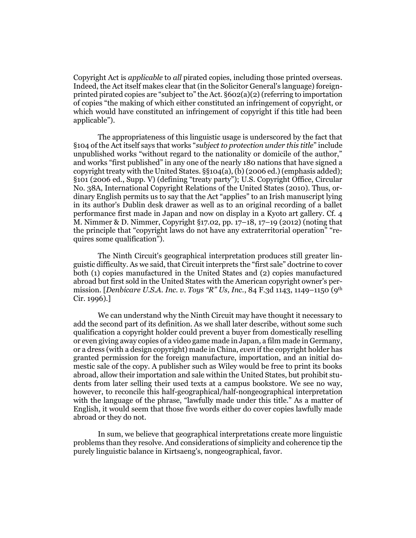Copyright Act is *applicable* to *all* pirated copies, including those printed overseas. Indeed, the Act itself makes clear that (in the Solicitor General's language) foreignprinted pirated copies are "subject to" the Act.  $§602(a)(2)$  (referring to importation of copies "the making of which either constituted an infringement of copyright, or which would have constituted an infringement of copyright if this title had been applicable").

The appropriateness of this linguistic usage is underscored by the fact that §104 of the Act itself says that works "*subject to protection under this title*" include unpublished works "without regard to the nationality or domicile of the author," and works "first published" in any one of the nearly 180 nations that have signed a copyright treaty with the United States. §§104(a), (b) (2006 ed.) (emphasis added); §101 (2006 ed., Supp. V) (defining "treaty party"); U.S. Copyright Office, Circular No. 38A, International Copyright Relations of the United States (2010). Thus, ordinary English permits us to say that the Act "applies" to an Irish manuscript lying in its author's Dublin desk drawer as well as to an original recording of a ballet performance first made in Japan and now on display in a Kyoto art gallery. Cf. 4 M. Nimmer & D. Nimmer, Copyright §17.02, pp. 17–18, 17–19 (2012) (noting that the principle that "copyright laws do not have any extraterritorial operation" "requires some qualification").

The Ninth Circuit's geographical interpretation produces still greater linguistic difficulty. As we said, that Circuit interprets the "first sale" doctrine to cover both (1) copies manufactured in the United States and (2) copies manufactured abroad but first sold in the United States with the American copyright owner's permission. [*[Denbicare U.S.A. Inc. v. Toys "R" Us, Inc.](http://www.westlaw.com/Find/Default.wl?rs=dfa1.0&vr=2.0&DB=506&FindType=Y&ReferencePositionType=S&SerialNum=1996121868&ReferencePosition=1149)*, 84 F.3d 1143, 1149–1150 (9th [Cir. 1996\).\]](http://www.westlaw.com/Find/Default.wl?rs=dfa1.0&vr=2.0&DB=506&FindType=Y&ReferencePositionType=S&SerialNum=1996121868&ReferencePosition=1149)

We can understand why the Ninth Circuit may have thought it necessary to add the second part of its definition. As we shall later describe, without some such qualification a copyright holder could prevent a buyer from domestically reselling or even giving away copies of a video game made in Japan, a film made in Germany, or a dress (with a design copyright) made in China, *even* if the copyright holder has granted permission for the foreign manufacture, importation, and an initial domestic sale of the copy. A publisher such as Wiley would be free to print its books abroad, allow their importation and sale within the United States, but prohibit students from later selling their used texts at a campus bookstore. We see no way, however, to reconcile this half-geographical/half-nongeographical interpretation with the language of the phrase, "lawfully made under this title." As a matter of English, it would seem that those five words either do cover copies lawfully made abroad or they do not.

In sum, we believe that geographical interpretations create more linguistic problems than they resolve. And considerations of simplicity and coherence tip the purely linguistic balance in Kirtsaeng's, nongeographical, favor.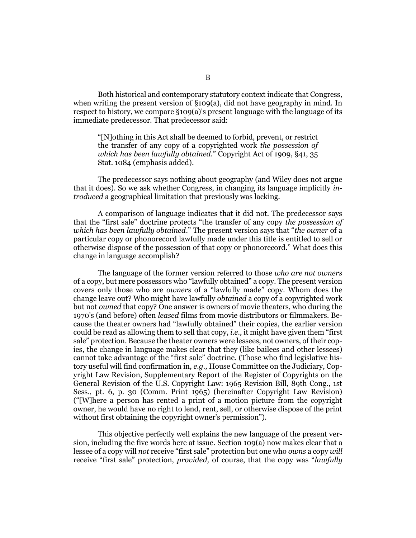Both historical and contemporary statutory context indicate that Congress, when writing the present version of [§109\(a\),](http://www.westlaw.com/Find/Default.wl?rs=dfa1.0&vr=2.0&DB=1000546&DocName=17USCAS109&FindType=L&ReferencePositionType=T&ReferencePosition=SP_8b3b0000958a4) did not have geography in mind. In respect to history, we compare [§109\(a\)'](http://www.westlaw.com/Find/Default.wl?rs=dfa1.0&vr=2.0&DB=1000546&DocName=17USCAS109&FindType=L&ReferencePositionType=T&ReferencePosition=SP_8b3b0000958a4)s present language with the language of its immediate predecessor. That predecessor said:

"[N]othing in this Act shall be deemed to forbid, prevent, or restrict the transfer of any copy of a copyrighted work *the possession of which has been lawfully obtained.*" Copyright Act of 1909, §41, 35 Stat. 1084 (emphasis added).

The predecessor says nothing about geography (and Wiley does not argue that it does). So we ask whether Congress, in changing its language implicitly *introduced* a geographical limitation that previously was lacking.

A comparison of language indicates that it did not. The predecessor says that the "first sale" doctrine protects "the transfer of any copy *the possession of which has been lawfully obtained*." The present version says that "*the owner* of a particular copy or phonorecord lawfully made under this title is entitled to sell or otherwise dispose of the possession of that copy or phonorecord." What does this change in language accomplish?

The language of the former version referred to those *who are not owners*  of a copy, but mere possessors who "lawfully obtained" a copy. The present version covers only those who are *owners* of a "lawfully made" copy. Whom does the change leave out? Who might have lawfully *obtained* a copy of a copyrighted work but not *owned* that copy? One answer is owners of movie theaters, who during the 1970's (and before) often *leased* films from movie distributors or filmmakers. Because the theater owners had "lawfully obtained" their copies, the earlier version could be read as allowing them to sell that copy, *i.e.,* it might have given them "first sale" protection. Because the theater owners were lessees, not owners, of their copies, the change in language makes clear that they (like bailees and other lessees) cannot take advantage of the "first sale" doctrine. (Those who find legislative history useful will find confirmation in, *e.g.,* House Committee on the Judiciary, Copyright Law Revision, Supplementary Report of the Register of Copyrights on the General Revision of the U.S. Copyright Law: 1965 Revision Bill, 89th Cong., 1st Sess., pt. 6, p. 30 (Comm. Print 1965) (hereinafter Copyright Law Revision) ("[W]here a person has rented a print of a motion picture from the copyright owner, he would have no right to lend, rent, sell, or otherwise dispose of the print without first obtaining the copyright owner's permission").

This objective perfectly well explains the new language of the present version, including the five words here at issue. [Section 109\(a\)](http://www.westlaw.com/Find/Default.wl?rs=dfa1.0&vr=2.0&DB=1000546&DocName=17USCAS109&FindType=L&ReferencePositionType=T&ReferencePosition=SP_8b3b0000958a4) now makes clear that a lessee of a copy will *not* receive "first sale" protection but one who *owns* a copy *will* receive "first sale" protection, *provided,* of course, that the copy was "*lawfully*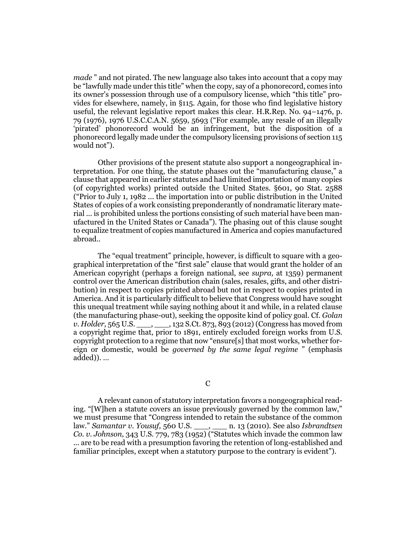*made* " and not pirated. The new language also takes into account that a copy may be "lawfully made under this title" when the copy, say of a phonorecord, comes into its owner's possession through use of a compulsory license, which "this title" provides for elsewhere, namely, in §115. Again, for those who find legislative history useful, the relevant legislative report makes this clear. [H.R.Rep. No. 94](http://www.westlaw.com/Find/Default.wl?rs=dfa1.0&vr=2.0&DB=0100014&FindType=Y&SerialNum=0100747631)–1476, p. [79 \(1976\), 1976](http://www.westlaw.com/Find/Default.wl?rs=dfa1.0&vr=2.0&DB=0100014&FindType=Y&SerialNum=0100747631) U.S.C.C.A.N. 5659, 5693 ("For example, any resale of an illegally 'pirated' phonorecord would be an infringement, but the disposition of a phonorecord legally made under the compulsory licensing provisions of section 115 would not").

Other provisions of the present statute also support a nongeographical interpretation. For one thing, the statute phases out the "manufacturing clause," a clause that appeared in earlier statutes and had limited importation of many copies (of copyrighted works) printed outside the United States. §601, 90 Stat. 2588 ("Prior to July 1, 1982 ... the importation into or public distribution in the United States of copies of a work consisting preponderantly of nondramatic literary material ... is prohibited unless the portions consisting of such material have been manufactured in the United States or Canada"). The phasing out of this clause sought to equalize treatment of copies manufactured in America and copies manufactured abroad..

The "equal treatment" principle, however, is difficult to square with a geographical interpretation of the "first sale" clause that would grant the holder of an American copyright (perhaps a foreign national, see *supra,* at 1359) permanent control over the American distribution chain (sales, resales, gifts, and other distribution) in respect to copies printed abroad but not in respect to copies printed in America. And it is particularly difficult to believe that Congress would have sought this unequal treatment while saying nothing about it and while, in a related clause (the manufacturing phase-out), seeking the opposite kind of policy goal. Cf. *[Golan](http://www.westlaw.com/Find/Default.wl?rs=dfa1.0&vr=2.0&DB=708&FindType=Y&ReferencePositionType=S&SerialNum=2026877422&ReferencePosition=893)  [v. Holder,](http://www.westlaw.com/Find/Default.wl?rs=dfa1.0&vr=2.0&DB=708&FindType=Y&ReferencePositionType=S&SerialNum=2026877422&ReferencePosition=893)* 565 U.S. \_\_\_, [\\_\\_\\_, 132 S.Ct. 873, 893 \(2012\)](http://www.westlaw.com/Find/Default.wl?rs=dfa1.0&vr=2.0&DB=708&FindType=Y&ReferencePositionType=S&SerialNum=2026877422&ReferencePosition=893) (Congress has moved from a copyright regime that, prior to 1891, entirely excluded foreign works from U.S. copyright protection to a regime that now "ensure[s] that most works, whether foreign or domestic, would be *governed by the same legal regime* " (emphasis added)). …

C

A relevant canon of statutory interpretation favors a nongeographical reading. "[W]hen a statute covers an issue previously governed by the common law," we must presume that "Congress intended to retain the substance of the common law." *[Samantar v. Yousuf,](http://www.westlaw.com/Find/Default.wl?rs=dfa1.0&vr=2.0&DB=708&FindType=Y&ReferencePositionType=S&SerialNum=2022190725&ReferencePosition=2289)* [560 U.S. \\_\\_\\_, \\_\\_\\_](http://www.westlaw.com/Find/Default.wl?rs=dfa1.0&vr=2.0&DB=708&FindType=Y&ReferencePositionType=S&SerialNum=2022190725&ReferencePosition=2289) n. 13 (2010). See also *[Isbrandtsen](http://www.westlaw.com/Find/Default.wl?rs=dfa1.0&vr=2.0&DB=708&FindType=Y&SerialNum=1952117676)  [Co. v. Johnson,](http://www.westlaw.com/Find/Default.wl?rs=dfa1.0&vr=2.0&DB=708&FindType=Y&SerialNum=1952117676)* [343 U.S. 779, 783](http://www.westlaw.com/Find/Default.wl?rs=dfa1.0&vr=2.0&DB=708&FindType=Y&SerialNum=1952117676) (1952) ("Statutes which invade the common law ... are to be read with a presumption favoring the retention of long-established and familiar principles, except when a statutory purpose to the contrary is evident").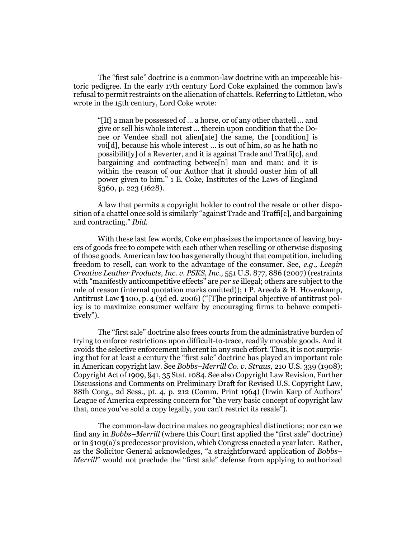The "first sale" doctrine is a common-law doctrine with an impeccable historic pedigree. In the early 17th century Lord Coke explained the common law's refusal to permit restraints on the alienation of chattels. Referring to Littleton, who wrote in the 15th century, Lord Coke wrote:

"[If] a man be possessed of ... a horse, or of any other chattell ... and give or sell his whole interest ... therein upon condition that the Donee or Vendee shall not alien[ate] the same, the [condition] is voi[d], because his whole interest ... is out of him, so as he hath no possibilit[y] of a Reverter, and it is against Trade and Traffi[c], and bargaining and contracting betwee[n] man and man: and it is within the reason of our Author that it should ouster him of all power given to him." 1 E. Coke, Institutes of the Laws of England §360, p. 223 (1628).

A law that permits a copyright holder to control the resale or other disposition of a chattel once sold is similarly "against Trade and  $Traff[c]$ , and bargaining and contracting." *Ibid.*

With these last few words, Coke emphasizes the importance of leaving buyers of goods free to compete with each other when reselling or otherwise disposing of those goods. American law too has generally thought that competition, including freedom to resell, can work to the advantage of the consumer. See, *e.g., [Leegin](http://www.westlaw.com/Find/Default.wl?rs=dfa1.0&vr=2.0&DB=708&FindType=Y&SerialNum=2012562227)  [Creative Leather Products, Inc. v. PSKS, Inc.,](http://www.westlaw.com/Find/Default.wl?rs=dfa1.0&vr=2.0&DB=708&FindType=Y&SerialNum=2012562227)* [551 U.S. 877, 886](http://www.westlaw.com/Find/Default.wl?rs=dfa1.0&vr=2.0&DB=708&FindType=Y&SerialNum=2012562227) (2007) (restraints with "manifestly anticompetitive effects" are *per se* illegal; others are subject to the rule of reason (internal quotation marks omitted)); 1 P. Areeda & H. Hovenkamp, Antitrust Law ¶ 100, p. 4 (3d ed. 2006) ("[T]he principal objective of antitrust policy is to maximize consumer welfare by encouraging firms to behave competitively").

The "first sale" doctrine also frees courts from the administrative burden of trying to enforce restrictions upon difficult-to-trace, readily movable goods. And it avoids the selective enforcement inherent in any such effort. Thus, it is not surprising that for at least a century the "first sale" doctrine has played an important role in American copyright law. See *Bobbs–[Merrill Co. v. Straus,](http://www.westlaw.com/Find/Default.wl?rs=dfa1.0&vr=2.0&DB=708&FindType=Y&SerialNum=1908100341)* [210 U.S. 339](http://www.westlaw.com/Find/Default.wl?rs=dfa1.0&vr=2.0&DB=708&FindType=Y&SerialNum=1908100341) (1908); Copyright Act of 1909, §41, 35 Stat. 1084. See also Copyright Law Revision, Further Discussions and Comments on Preliminary Draft for Revised U.S. Copyright Law, 88th Cong., 2d Sess., pt. 4, p. 212 (Comm. Print 1964) (Irwin Karp of Authors' League of America expressing concern for "the very basic concept of copyright law that, once you've sold a copy legally, you can't restrict its resale").

The common-law doctrine makes no geographical distinctions; nor can we find any in *Bobbs–[Merrill](http://www.westlaw.com/Find/Default.wl?rs=dfa1.0&vr=2.0&FindType=Y&SerialNum=1908100341)* (where this Court first applied the "first sale" doctrine) or i[n §109\(a\)'s](http://www.westlaw.com/Find/Default.wl?rs=dfa1.0&vr=2.0&DB=1000546&DocName=17USCAS109&FindType=L&ReferencePositionType=T&ReferencePosition=SP_8b3b0000958a4) predecessor provision, which Congress enacted a year later. Rather, as the Solicitor General acknowledges, "a straightforward application of *[Bobbs](http://www.westlaw.com/Find/Default.wl?rs=dfa1.0&vr=2.0&FindType=Y&SerialNum=1908100341)– [Merrill](http://www.westlaw.com/Find/Default.wl?rs=dfa1.0&vr=2.0&FindType=Y&SerialNum=1908100341)*" would not preclude the "first sale" defense from applying to authorized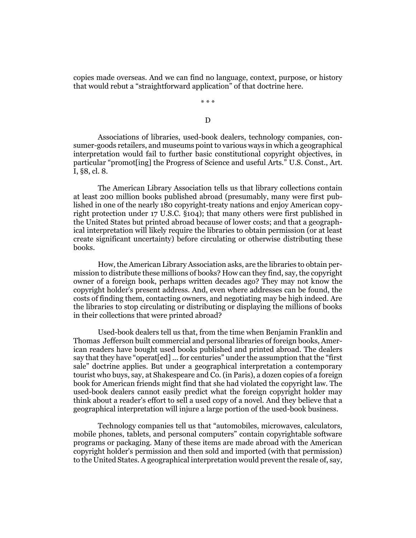copies made overseas. And we can find no language, context, purpose, or history that would rebut a "straightforward application" of that doctrine here.

\* \* \*

## D

Associations of libraries, used-book dealers, technology companies, consumer-goods retailers, and museums point to various ways in which a geographical interpretation would fail to further basic constitutional copyright objectives, in particular "promot[ing] the Progress of Science and useful Arts." [U.S. Const., Art.](http://www.westlaw.com/Find/Default.wl?rs=dfa1.0&vr=2.0&DB=1000546&DocName=USCOARTIS8CL8&FindType=L)  [I, §8, cl. 8.](http://www.westlaw.com/Find/Default.wl?rs=dfa1.0&vr=2.0&DB=1000546&DocName=USCOARTIS8CL8&FindType=L)

The American Library Association tells us that library collections contain at least 200 million books published abroad (presumably, many were first published in one of the nearly 180 copyright-treaty nations and enjoy American copyright protection under [17 U.S.C. §104\)](http://www.westlaw.com/Find/Default.wl?rs=dfa1.0&vr=2.0&DB=1000546&DocName=17USCAS104&FindType=L); that many others were first published in the United States but printed abroad because of lower costs; and that a geographical interpretation will likely require the libraries to obtain permission (or at least create significant uncertainty) before circulating or otherwise distributing these books.

How, the American Library Association asks, are the libraries to obtain permission to distribute these millions of books? How can they find, say, the copyright owner of a foreign book, perhaps written decades ago? They may not know the copyright holder's present address. And, even where addresses can be found, the costs of finding them, contacting owners, and negotiating may be high indeed. Are the libraries to stop circulating or distributing or displaying the millions of books in their collections that were printed abroad?

Used-book dealers tell us that, from the time when Benjamin Franklin and Thomas Jefferson built commercial and personal libraries of foreign books, American readers have bought used books published and printed abroad. The dealers say that they have "operat[ed] ... for centuries" under the assumption that the "first sale" doctrine applies. But under a geographical interpretation a contemporary tourist who buys, say, at Shakespeare and Co. (in Paris), a dozen copies of a foreign book for American friends might find that she had violated the copyright law. The used-book dealers cannot easily predict what the foreign copyright holder may think about a reader's effort to sell a used copy of a novel. And they believe that a geographical interpretation will injure a large portion of the used-book business.

Technology companies tell us that "automobiles, microwaves, calculators, mobile phones, tablets, and personal computers" contain copyrightable software programs or packaging. Many of these items are made abroad with the American copyright holder's permission and then sold and imported (with that permission) to the United States. A geographical interpretation would prevent the resale of, say,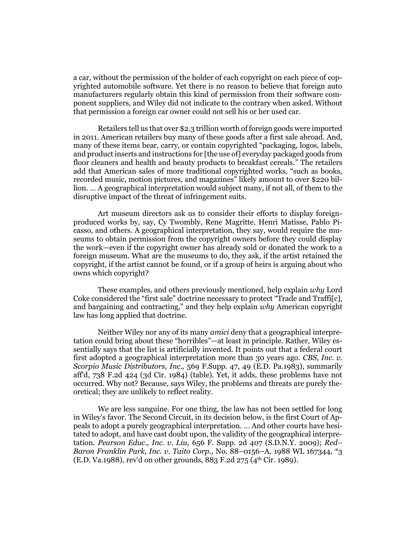a car, without the permission of the holder of each copyright on each piece of copyrighted automobile software. Yet there is no reason to believe that foreign auto manufacturers regularly obtain this kind of permission from their software component suppliers, and Wiley did not indicate to the contrary when asked. Without that permission a foreign car owner could not sell his or her used car.

Retailers tell us that over \$2.3 trillion worth of foreign goods were imported in 2011. American retailers buy many of these goods after a first sale abroad. And, many of these items bear, carry, or contain copyrighted "packaging, logos, labels, and product inserts and instructions for [the use of] everyday packaged goods from floor cleaners and health and beauty products to breakfast cereals." The retailers add that American sales of more traditional copyrighted works, "such as books, recorded music, motion pictures, and magazines" likely amount to over \$220 billion. … A geographical interpretation would subject many, if not all, of them to the disruptive impact of the threat of infringement suits.

Art museum directors ask us to consider their efforts to display foreignproduced works by, say, Cy Twombly, Rene Magritte, Henri Matisse, Pablo Picasso, and others. A geographical interpretation, they say, would require the museums to obtain permission from the copyright owners before they could display the work—even if the copyright owner has already sold or donated the work to a foreign museum. What are the museums to do, they ask, if the artist retained the copyright, if the artist cannot be found, or if a group of heirs is arguing about who owns which copyright?

These examples, and others previously mentioned, help explain *why* Lord Coke considered the "first sale" doctrine necessary to protect "Trade and Traffi[c], and bargaining and contracting," and they help explain *why* American copyright law has long applied that doctrine.

Neither Wiley nor any of its many *amici* deny that a geographical interpretation could bring about these "horribles"—at least in principle. Rather, Wiley essentially says that the list is artificially invented. It points out that a federal court first adopted a geographical interpretation more than 30 years ago. *[CBS, Inc. v.](http://www.westlaw.com/Find/Default.wl?rs=dfa1.0&vr=2.0&DB=345&FindType=Y&ReferencePositionType=S&SerialNum=1983139933&ReferencePosition=49)  [Scorpio Music Distributors, Inc.,](http://www.westlaw.com/Find/Default.wl?rs=dfa1.0&vr=2.0&DB=345&FindType=Y&ReferencePositionType=S&SerialNum=1983139933&ReferencePosition=49)* [569 F.Supp. 47, 49 \(E.D.](http://www.westlaw.com/Find/Default.wl?rs=dfa1.0&vr=2.0&DB=345&FindType=Y&ReferencePositionType=S&SerialNum=1983139933&ReferencePosition=49) Pa.1983), summarily aff'd, [738 F.2d 424 \(3d Cir.](http://www.westlaw.com/Find/Default.wl?rs=dfa1.0&vr=2.0&DB=350&FindType=Y&SerialNum=1984229293) 1984) (table). Yet, it adds, these problems have not occurred. Why not? Because, says Wiley, the problems and threats are purely theoretical; they are unlikely to reflect reality.

We are less sanguine. For one thing, the law has not been settled for long in Wiley's favor. The Second Circuit, in its decision below, is the first Court of Appeals to adopt a purely geographical interpretation. … And other courts have hesitated to adopt, and have cast doubt upon, the validity of the geographical interpretation. *[Pearson Educ., Inc. v. Liu,](http://www.westlaw.com/Find/Default.wl?rs=dfa1.0&vr=2.0&DB=4637&FindType=Y&SerialNum=2019893154)* 656 F. Supp. [2d 407 \(S.D.N.Y.](http://www.westlaw.com/Find/Default.wl?rs=dfa1.0&vr=2.0&DB=4637&FindType=Y&SerialNum=2019893154) 2009); *[Red](http://www.westlaw.com/Find/Default.wl?rs=dfa1.0&vr=2.0&DB=0000999&FindType=Y&SerialNum=1989139544)– [Baron Franklin Park, Inc. v. Taito Corp.,](http://www.westlaw.com/Find/Default.wl?rs=dfa1.0&vr=2.0&DB=0000999&FindType=Y&SerialNum=1989139544)* No. 88–0156–[A, 1988 WL 167344, \\*3](http://www.westlaw.com/Find/Default.wl?rs=dfa1.0&vr=2.0&DB=0000999&FindType=Y&SerialNum=1989139544)   $(E.D. Va. 1988)$ , rev'd on other grounds,  $883$  F.2d 275 (4<sup>th</sup> Cir. 1989).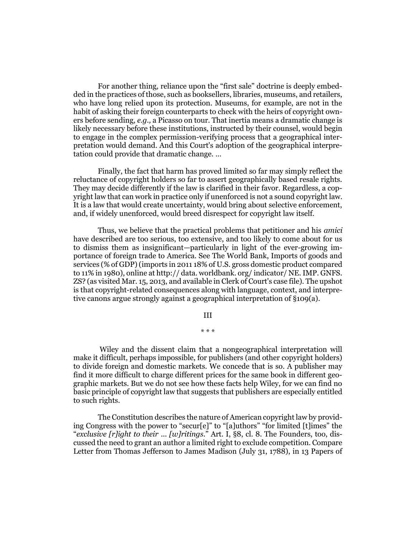For another thing, reliance upon the "first sale" doctrine is deeply embedded in the practices of those, such as booksellers, libraries, museums, and retailers, who have long relied upon its protection. Museums, for example, are not in the habit of asking their foreign counterparts to check with the heirs of copyright owners before sending, *e.g.,* a Picasso on tour. That inertia means a dramatic change is likely necessary before these institutions, instructed by their counsel, would begin to engage in the complex permission-verifying process that a geographical interpretation would demand. And this Court's adoption of the geographical interpretation could provide that dramatic change. …

Finally, the fact that harm has proved limited so far may simply reflect the reluctance of copyright holders so far to assert geographically based resale rights. They may decide differently if the law is clarified in their favor. Regardless, a copyright law that can work in practice only if unenforced is not a sound copyright law. It is a law that would create uncertainty, would bring about selective enforcement, and, if widely unenforced, would breed disrespect for copyright law itself.

Thus, we believe that the practical problems that petitioner and his *amici* have described are too serious, too extensive, and too likely to come about for us to dismiss them as insignificant—particularly in light of the ever-growing importance of foreign trade to America. See The World Bank, Imports of goods and services (% of GDP) (imports in 2011 18% of U.S. gross domestic product compared to 11% in 1980), online at http:// data. worldbank. org/ indicator/ NE. IMP. GNFS. ZS? (as visited Mar. 15, 2013, and available in Clerk of Court's case file). The upshot is that copyright-related consequences along with language, context, and interpretive canons argue strongly against a geographical interpretation of [§109\(a\).](http://www.westlaw.com/Find/Default.wl?rs=dfa1.0&vr=2.0&DB=1000546&DocName=17USCAS109&FindType=L&ReferencePositionType=T&ReferencePosition=SP_8b3b0000958a4)

III

\* \* \*

Wiley and the dissent claim that a nongeographical interpretation will make it difficult, perhaps impossible, for publishers (and other copyright holders) to divide foreign and domestic markets. We concede that is so. A publisher may find it more difficult to charge different prices for the same book in different geographic markets. But we do not see how these facts help Wiley, for we can find no basic principle of copyright law that suggests that publishers are especially entitled to such rights.

The Constitution describes the nature of American copyright law by providing Congress with the power to "secur[e]" to "[a]uthors" "for limited [t]imes" the "*exclusive [r]ight to their* ... *[w]ritings*." [Art. I, §8, cl. 8.](http://www.westlaw.com/Find/Default.wl?rs=dfa1.0&vr=2.0&DB=1000546&DocName=USCOARTIS8CL8&FindType=L) The Founders, too, discussed the need to grant an author a limited right to exclude competition. Compare Letter from Thomas Jefferson to James Madison (July 31, 1788), in 13 Papers of